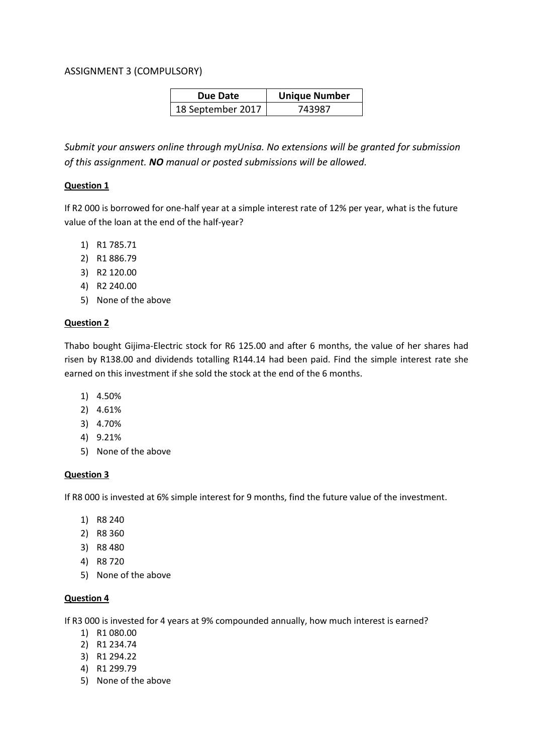# ASSIGNMENT 3 (COMPULSORY)

| Due Date          | <b>Unique Number</b> |
|-------------------|----------------------|
| 18 September 2017 | 743987               |

*Submit your answers online through myUnisa. No extensions will be granted for submission of this assignment. NO manual or posted submissions will be allowed.*

## **Question 1**

If R2 000 is borrowed for one-half year at a simple interest rate of 12% per year, what is the future value of the loan at the end of the half-year?

- 1) R1 785.71
- 2) R1 886.79
- 3) R2 120.00
- 4) R2 240.00
- 5) None of the above

# **Question 2**

Thabo bought Gijima-Electric stock for R6 125.00 and after 6 months, the value of her shares had risen by R138.00 and dividends totalling R144.14 had been paid. Find the simple interest rate she earned on this investment if she sold the stock at the end of the 6 months.

- 1) 4.50%
- 2) 4.61%
- 3) 4.70%
- 4) 9.21%
- 5) None of the above

# **Question 3**

If R8 000 is invested at 6% simple interest for 9 months, find the future value of the investment.

- 1) R8 240
- 2) R8 360
- 3) R8 480
- 4) R8 720
- 5) None of the above

# **Question 4**

If R3 000 is invested for 4 years at 9% compounded annually, how much interest is earned?

- 1) R1 080.00
- 2) R1 234.74
- 3) R1 294.22
- 4) R1 299.79
- 5) None of the above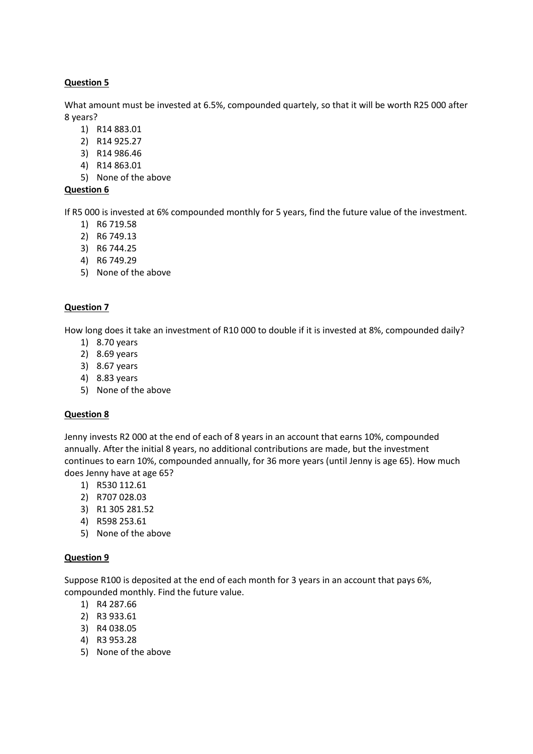What amount must be invested at 6.5%, compounded quartely, so that it will be worth R25 000 after 8 years?

- 1) R14 883.01
- 2) R14 925.27
- 3) R14 986.46
- 4) R14 863.01
- 5) None of the above

## **Question 6**

If R5 000 is invested at 6% compounded monthly for 5 years, find the future value of the investment.

- 1) R6 719.58
- 2) R6 749.13
- 3) R6 744.25
- 4) R6 749.29
- 5) None of the above

## **Question 7**

How long does it take an investment of R10 000 to double if it is invested at 8%, compounded daily?

- 1) 8.70 years
- 2) 8.69 years
- 3) 8.67 years
- 4) 8.83 years
- 5) None of the above

#### **Question 8**

Jenny invests R2 000 at the end of each of 8 years in an account that earns 10%, compounded annually. After the initial 8 years, no additional contributions are made, but the investment continues to earn 10%, compounded annually, for 36 more years (until Jenny is age 65). How much does Jenny have at age 65?

- 1) R530 112.61
- 2) R707 028.03
- 3) R1 305 281.52
- 4) R598 253.61
- 5) None of the above

#### **Question 9**

Suppose R100 is deposited at the end of each month for 3 years in an account that pays 6%, compounded monthly. Find the future value.

- 1) R4 287.66
- 2) R3 933.61
- 3) R4 038.05
- 4) R3 953.28
- 5) None of the above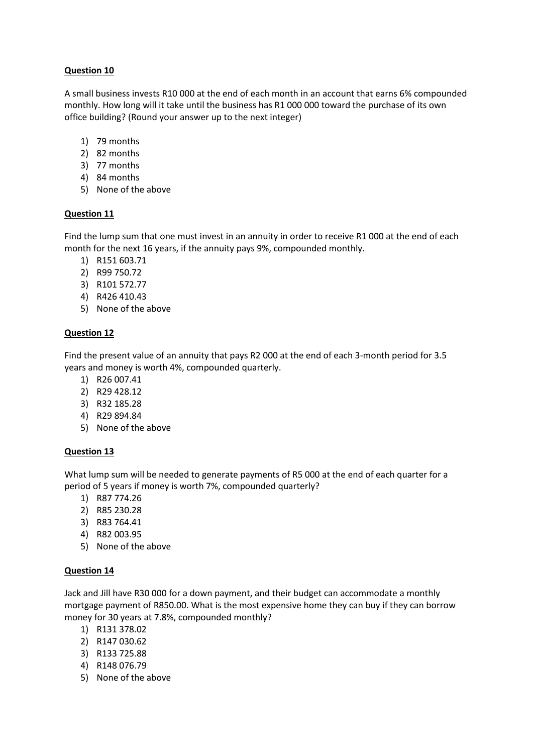A small business invests R10 000 at the end of each month in an account that earns 6% compounded monthly. How long will it take until the business has R1 000 000 toward the purchase of its own office building? (Round your answer up to the next integer)

- 1) 79 months
- 2) 82 months
- 3) 77 months
- 4) 84 months
- 5) None of the above

# **Question 11**

Find the lump sum that one must invest in an annuity in order to receive R1 000 at the end of each month for the next 16 years, if the annuity pays 9%, compounded monthly.

- 1) R151 603.71
- 2) R99 750.72
- 3) R101 572.77
- 4) R426 410.43
- 5) None of the above

## **Question 12**

Find the present value of an annuity that pays R2 000 at the end of each 3-month period for 3.5 years and money is worth 4%, compounded quarterly.

- 1) R26 007.41
- 2) R29 428.12
- 3) R32 185.28
- 4) R29 894.84
- 5) None of the above

#### **Question 13**

What lump sum will be needed to generate payments of R5 000 at the end of each quarter for a period of 5 years if money is worth 7%, compounded quarterly?

- 1) R87 774.26
- 2) R85 230.28
- 3) R83 764.41
- 4) R82 003.95
- 5) None of the above

# **Question 14**

Jack and Jill have R30 000 for a down payment, and their budget can accommodate a monthly mortgage payment of R850.00. What is the most expensive home they can buy if they can borrow money for 30 years at 7.8%, compounded monthly?

- 1) R131 378.02
- 2) R147 030.62
- 3) R133 725.88
- 4) R148 076.79
- 5) None of the above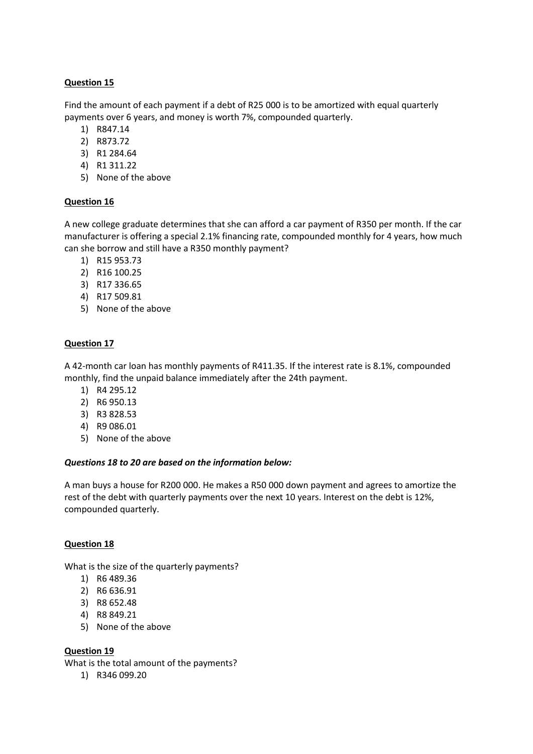Find the amount of each payment if a debt of R25 000 is to be amortized with equal quarterly payments over 6 years, and money is worth 7%, compounded quarterly.

- 1) R847.14
- 2) R873.72
- 3) R1 284.64
- 4) R1 311.22
- 5) None of the above

## **Question 16**

A new college graduate determines that she can afford a car payment of R350 per month. If the car manufacturer is offering a special 2.1% financing rate, compounded monthly for 4 years, how much can she borrow and still have a R350 monthly payment?

- 1) R15 953.73
- 2) R16 100.25
- 3) R17 336.65
- 4) R17 509.81
- 5) None of the above

# **Question 17**

A 42-month car loan has monthly payments of R411.35. If the interest rate is 8.1%, compounded monthly, find the unpaid balance immediately after the 24th payment.

- 1) R4 295.12
- 2) R6 950.13
- 3) R3 828.53
- 4) R9 086.01
- 5) None of the above

#### *Questions 18 to 20 are based on the information below:*

A man buys a house for R200 000. He makes a R50 000 down payment and agrees to amortize the rest of the debt with quarterly payments over the next 10 years. Interest on the debt is 12%, compounded quarterly.

#### **Question 18**

What is the size of the quarterly payments?

- 1) R6 489.36
- 2) R6 636.91
- 3) R8 652.48
- 4) R8 849.21
- 5) None of the above

#### **Question 19**

What is the total amount of the payments?

1) R346 099.20